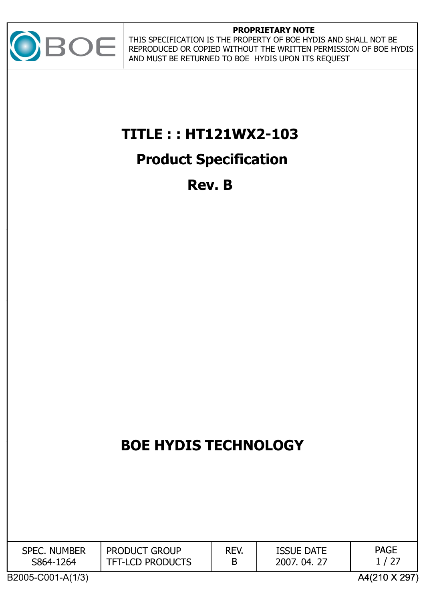

#### **PROPRIETARY NOTE**

THIS SPECIFICATION IS THE PROPERTY OF BOE HYDIS AND SHALL NOT BE REPRODUCED OR COPIED WITHOUT THE WRITTEN PERMISSION OF BOE HYDIS AND MUST BE RETURNED TO BOE HYDIS UPON ITS REQUEST

# **TITLE : : HT121WX2-103**

## **Product Specification**

**Rev. B**

# **BOE HYDIS TECHNOLOGY BOE HYDIS TECHNOLOGY**

| <b>NUMBER</b><br><b>SPEC</b><br>S864-1<br>264 | <b>PRODUCT GROUP</b><br><b>TFT-LCD PRODUCTS</b> | REV. | <b>ISSUE DATE</b><br>04.27<br>2007. | <b>PAGE</b><br>/ 27<br>- |
|-----------------------------------------------|-------------------------------------------------|------|-------------------------------------|--------------------------|
|-----------------------------------------------|-------------------------------------------------|------|-------------------------------------|--------------------------|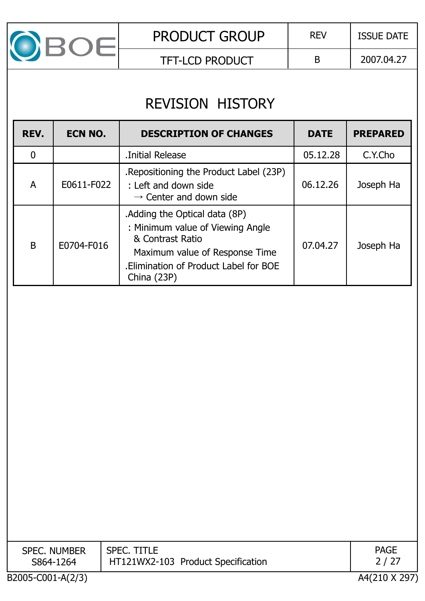

TFT-LCD PRODUCT  $\vert$  B | 2007.04.27

# REVISION HISTORY

| REV.         | ECN NO.    | <b>DESCRIPTION OF CHANGES</b>                                                                                                                                                 | <b>DATE</b> | <b>PREPARED</b> |
|--------------|------------|-------------------------------------------------------------------------------------------------------------------------------------------------------------------------------|-------------|-----------------|
|              |            | Initial Release                                                                                                                                                               | 05.12.28    | C.Y.Cho         |
| A            | E0611-F022 | Repositioning the Product Label (23P).<br>: Left and down side<br>$\rightarrow$ Center and down side                                                                          | 06.12.26    | Joseph Ha       |
| <sub>B</sub> | E0704-F016 | Adding the Optical data (8P)<br>: Minimum value of Viewing Angle<br>& Contrast Ratio<br>Maximum value of Response Time<br>Elimination of Product Label for BOE<br>China (23P) | 07.04.27    | Joseph Ha       |

| <b>SPEC. NUMBER</b><br>S864-1264 | <b>SPEC. TITLE</b><br>HT121WX2-103 Product Specification | <b>PAGE</b><br>2 / 27 |
|----------------------------------|----------------------------------------------------------|-----------------------|
| B2005-C001-A(2/3)                |                                                          | A4(210 X 297)         |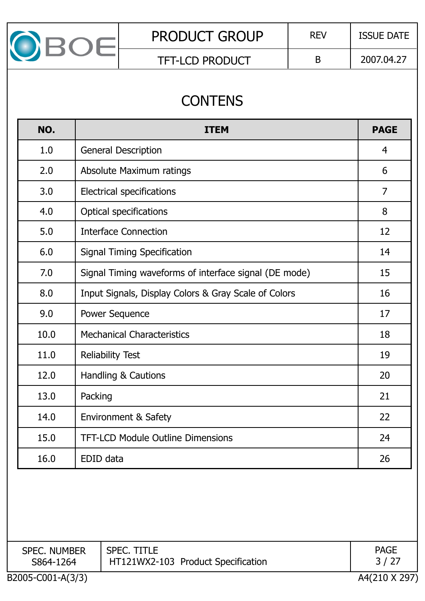

## **CONTENS**

| NO.  | <b>ITEM</b>                                           | <b>PAGE</b>    |
|------|-------------------------------------------------------|----------------|
| 1.0  | <b>General Description</b>                            | 4              |
| 2.0  | Absolute Maximum ratings                              | 6              |
| 3.0  | <b>Electrical specifications</b>                      | $\overline{7}$ |
| 4.0  | <b>Optical specifications</b>                         | 8              |
| 5.0  | <b>Interface Connection</b>                           | 12             |
| 6.0  | <b>Signal Timing Specification</b>                    | 14             |
| 7.0  | Signal Timing waveforms of interface signal (DE mode) | 15             |
| 8.0  | Input Signals, Display Colors & Gray Scale of Colors  | 16             |
| 9.0  | <b>Power Sequence</b>                                 | 17             |
| 10.0 | <b>Mechanical Characteristics</b>                     | 18             |
| 11.0 | <b>Reliability Test</b>                               | 19             |
| 12.0 | Handling & Cautions                                   | 20             |
| 13.0 | Packing                                               | 21             |
| 14.0 | <b>Environment &amp; Safety</b>                       | 22             |
| 15.0 | <b>TFT-LCD Module Outline Dimensions</b>              | 24             |
| 16.0 | EDID data                                             | 26             |

| <b>SPEC. NUMBER</b> | <b>SPEC. TITLE</b>                 | <b>PAGE</b>   |
|---------------------|------------------------------------|---------------|
| S864-1264           | HT121WX2-103 Product Specification | 3/27          |
| B2005-C001-A(3/3)   |                                    | A4(210 X 297) |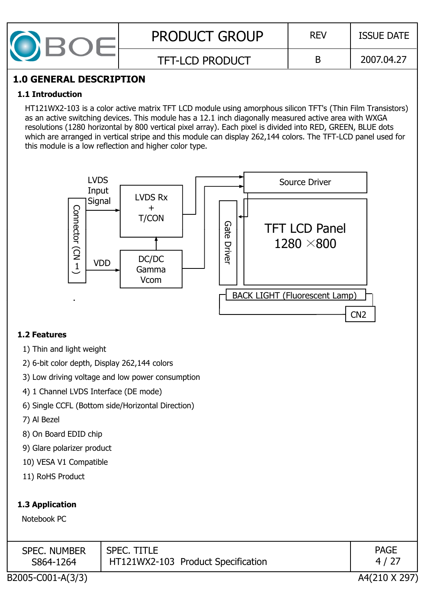| <b>PRODUCT GROUP</b>   | <b>REV</b> | <b>ISSUE DATE</b> |
|------------------------|------------|-------------------|
| <b>TFT-LCD PRODUCT</b> |            | 2007.04.27        |

#### **1.0 GENERAL DESCRIPTION**

#### **1.1 Introduction**

HT121WX2-103 is a color active matrix TFT LCD module using amorphous silicon TFT's (Thin Film Transistors) as an active switching devices. This module has a 12.1 inch diagonally measured active area with WXGA resolutions (1280 horizontal by 800 vertical pixel array). Each pixel is divided into RED, GREEN, BLUE dots which are arranged in vertical stripe and this module can display 262,144 colors. The TFT-LCD panel used for this module is a low reflection and higher color type.



#### **1.2 Features**

- 1) Thin and light weight
- 2) 6-bit color depth, Display 262,144 colors
- 3) Low driving voltage and low power consumption
- 4) 1 Channel LVDS Interface (DE mode)
- 6) Single CCFL (Bottom side/Horizontal Direction)
- 7) Al Bezel
- 8) On Board EDID chip
- 9) Glare polarizer product
- 10) VESA V1 Compatible
- 11) RoHS Product

#### **1.3 Application**

Notebook PC

| <b>SPEC. NUMBER</b><br>S864-1264 | <b>SPEC. TITLE</b><br>HT121WX2-103 Product Specification | <b>PAGE</b>  |
|----------------------------------|----------------------------------------------------------|--------------|
| 32005.001.121                    |                                                          | 1.1010101000 |

B2005-C001-A(3/3) A4(210 X 297)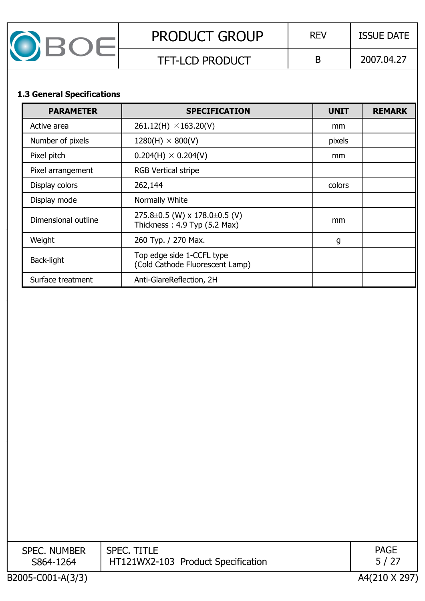| <b>PRODUCT GROUP</b>   | <b>REV</b> | <b>ISSUE DATE</b> |
|------------------------|------------|-------------------|
| <b>TFT-LCD PRODUCT</b> |            | 2007.04.27        |

#### **1.3 General Specifications**

| <b>PARAMETER</b>    | <b>SPECIFICATION</b>                                                      | <b>UNIT</b> | <b>REMARK</b> |
|---------------------|---------------------------------------------------------------------------|-------------|---------------|
| Active area         | $261.12(H) \times 163.20(V)$                                              | mm          |               |
| Number of pixels    | $1280(H) \times 800(V)$                                                   | pixels      |               |
| Pixel pitch         | $0.204(H) \times 0.204(V)$                                                | mm          |               |
| Pixel arrangement   | <b>RGB Vertical stripe</b>                                                |             |               |
| Display colors      | 262,144                                                                   | colors      |               |
| Display mode        | Normally White                                                            |             |               |
| Dimensional outline | 275.8 $\pm$ 0.5 (W) x 178.0 $\pm$ 0.5 (V)<br>Thickness: 4.9 Typ (5.2 Max) | mm          |               |
| Weight              | 260 Typ. / 270 Max.                                                       | g           |               |
| Back-light          | Top edge side 1-CCFL type<br>(Cold Cathode Fluorescent Lamp)              |             |               |
| Surface treatment   | Anti-GlareReflection, 2H                                                  |             |               |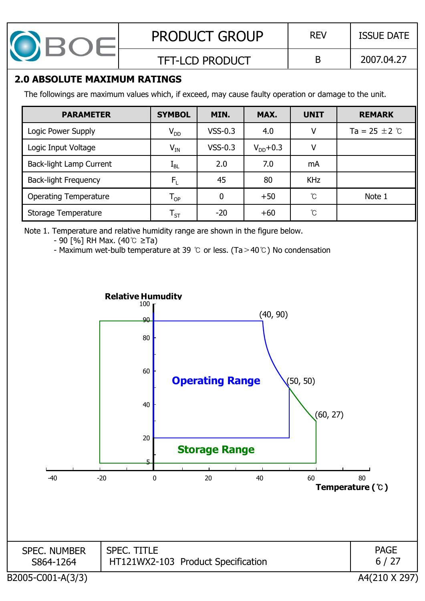

## **2.0 ABSOLUTE MAXIMUM RATINGS**

The followings are maximum values which, if exceed, may cause faulty operation or damage to the unit.

| <b>PARAMETER</b>               | <b>SYMBOL</b>              | MIN.      | MAX.          | <b>UNIT</b> | <b>REMARK</b>               |
|--------------------------------|----------------------------|-----------|---------------|-------------|-----------------------------|
| Logic Power Supply             | $V_{DD}$                   | $VSS-0.3$ | 4.0           | v           | Ta = 25 $\pm$ 2 $\degree$ C |
| Logic Input Voltage            | $V_{IN}$                   | $VSS-0.3$ | $V_{DD}$ +0.3 | v           |                             |
| <b>Back-light Lamp Current</b> | $L_{BL}$                   | 2.0       | 7.0           | mA          |                             |
| <b>Back-light Frequency</b>    | $F_1$                      | 45        | 80            | <b>KHz</b>  |                             |
| <b>Operating Temperature</b>   | $T_{OP}$                   | 0         | $+50$         | °C          | Note 1                      |
| Storage Temperature            | $\mathsf{T}_{\mathsf{ST}}$ | $-20$     | $+60$         | °C          |                             |

Note 1. Temperature and relative humidity range are shown in the figure below.

 $-90$  [%] RH Max. (40°C  $\geq$ Ta)

- Maximum wet-bulb temperature at 39  $\degree$  or less. (Ta > 40 $\degree$ ) No condensation

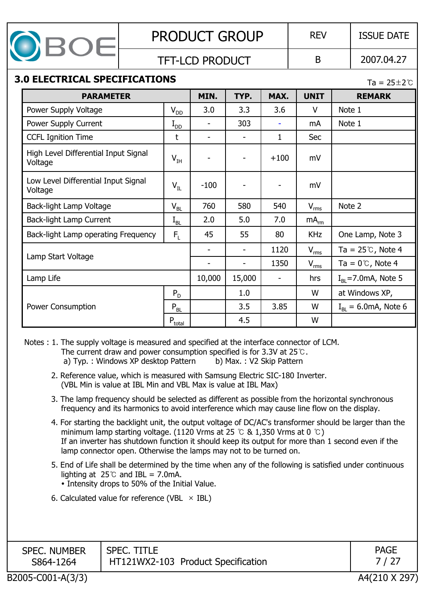

#### TFT-LCD PRODUCT B 2007.04.27

## **3.0 ELECTRICAL SPECIFICATIONS** Ta = 25±2 °C

| <b>PARAMETER</b>                                |              | MIN.   | TYP.           | MAX.                     | <b>UNIT</b>      | <b>REMARK</b>                      |
|-------------------------------------------------|--------------|--------|----------------|--------------------------|------------------|------------------------------------|
| Power Supply Voltage                            | $V_{DD}$     | 3.0    | 3.3            | 3.6                      | $\vee$           | Note 1                             |
| Power Supply Current                            | $I_{DD}$     |        | 303            |                          | mA               | Note 1                             |
| <b>CCFL Ignition Time</b>                       | t            |        |                | 1                        | <b>Sec</b>       |                                    |
| High Level Differential Input Signal<br>Voltage | $V_{IH}$     |        |                | $+100$                   | mV               |                                    |
| Low Level Differential Input Signal<br>Voltage  | $V_{IL}$     | $-100$ | ۰              |                          | mV               |                                    |
| Back-light Lamp Voltage                         | $V_{BL}$     | 760    | 580            | 540                      | $V_{rms}$        | Note 2                             |
| Back-light Lamp Current                         | $\rm I_{BL}$ | 2.0    | 5.0            | 7.0                      | mA <sub>rm</sub> |                                    |
| Back-light Lamp operating Frequency             | $F_1$        | 45     | 55             | 80                       | <b>KHz</b>       | One Lamp, Note 3                   |
|                                                 |              |        | $\blacksquare$ | 1120                     | $V_{rms}$        | Ta = $25^\circ$ C, Note 4          |
| Lamp Start Voltage                              |              |        |                | 1350                     | $V_{rms}$        | Ta = $0^{\circ}$ C, Note 4         |
| Lamp Life                                       |              | 10,000 | 15,000         | $\overline{\phantom{0}}$ | hrs              | $IRI = 7.0$ mA, Note 5             |
|                                                 | $P_D$        |        | 1.0            |                          | W                | at Windows XP,                     |
| <b>Power Consumption</b>                        | $P_{BL}$     |        | 3.5            | 3.85                     | W                | $I_{\rm BI} = 6.0 \rm mA$ , Note 6 |
|                                                 | $P_{total}$  |        | 4.5            |                          | W                |                                    |

Notes : 1. The supply voltage is measured and specified at the interface connector of LCM. The current draw and power consumption specified is for 3.3V at  $25^{\circ}$ . a) Typ. : Windows XP desktop Pattern b) Max. : V2 Skip Pattern

- 2. Reference value, which is measured with Samsung Electric SIC-180 Inverter. (VBL Min is value at IBL Min and VBL Max is value at IBL Max)
- 3. The lamp frequency should be selected as different as possible from the horizontal synchronous frequency and its harmonics to avoid interference which may cause line flow on the display.
- 4. For starting the backlight unit, the output voltage of DC/AC's transformer should be larger than the minimum lamp starting voltage. (1120 Vrms at 25  $\degree$  & 1,350 Vrms at 0  $\degree$ C) If an inverter has shutdown function it should keep its output for more than 1 second even if the lamp connector open. Otherwise the lamps may not to be turned on.
- 5. End of Life shall be determined by the time when any of the following is satisfied under continuous lighting at  $25^{\circ}$  and IBL = 7.0mA.
	- Intensity drops to 50% of the Initial Value.
- 6. Calculated value for reference (VBL  $\times$  IBL)

| <b>SPEC. NUMBER</b><br>S864-1264 | <b>SPEC. TITLE</b><br>HT121WX2-103 Product Specification | <b>PAGE</b> |
|----------------------------------|----------------------------------------------------------|-------------|
|----------------------------------|----------------------------------------------------------|-------------|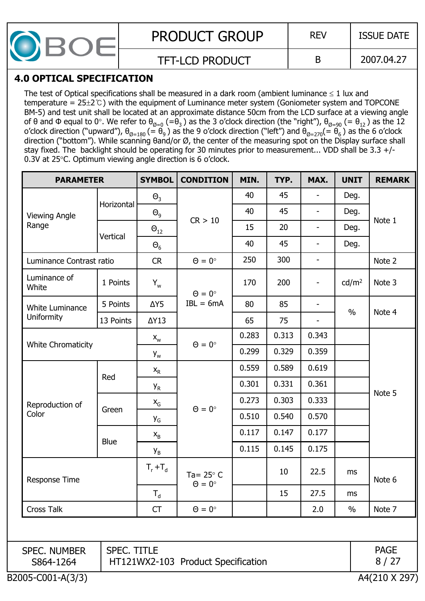

### **4.0 OPTICAL SPECIFICATION**

The test of Optical specifications shall be measured in a dark room (ambient luminance  $\leq 1$  lux and temperature =  $25\pm2$ °C) with the equipment of Luminance meter system (Goniometer system and TOPCONE BM-5) and test unit shall be located at an approximate distance 50cm from the LCD surface at a viewing angle of  $\theta$  and  $\Phi$  equal to  $0^\circ$ . We refer to  $\theta_{\emptyset=0}$  (= $\theta_3$  ) as the 3 o'clock direction (the "right"),  $\theta_{\emptyset=90}$  (=  $\theta_{12}$  ) as the 12 o'clock direction ("upward"),  $\theta_{\varnothing=180}$  (=  $\theta_9$  ) as the 9 o'clock direction ("left") and  $\theta_{\varnothing=270} (= \theta_6$  ) as the 6 o'clock direction ("bottom"). While scanning  $\theta$ and/or Ø, the center of the measuring spot on the Display surface shall stay fixed. The backlight should be operating for 30 minutes prior to measurement... VDD shall be 3.3 +/- 0.3V at 25 $\degree$ C. Optimum viewing angle direction is 6 o'clock.

| Horizontal               | $\Theta$ <sub>3</sub>       |                                 | 40                                                                                           | 45    |                                    |                   |                                |
|--------------------------|-----------------------------|---------------------------------|----------------------------------------------------------------------------------------------|-------|------------------------------------|-------------------|--------------------------------|
|                          |                             |                                 |                                                                                              |       |                                    | Deg.              |                                |
|                          | $\Theta_{9}$                | CR > 10                         | 40                                                                                           | 45    | $\overline{\phantom{a}}$           | Deg.              |                                |
| Vertical                 | $\Theta_{12}$               |                                 | 15                                                                                           | 20    | $\overline{\phantom{a}}$           | Deg.              | Note 1                         |
|                          | $\Theta_6$                  |                                 | 40                                                                                           | 45    | $\overline{\phantom{a}}$           | Deg.              |                                |
| Luminance Contrast ratio | CR                          | $\Theta = 0^\circ$              | 250                                                                                          | 300   | $\overline{\phantom{a}}$           |                   | Note 2                         |
| 1 Points                 | $Y_w$                       |                                 | 170                                                                                          | 200   | $\overline{\phantom{a}}$           | cd/m <sup>2</sup> | Note 3                         |
| 5 Points                 | $\Delta Y5$                 | $IBL = 6mA$                     | 80                                                                                           | 85    | $\overline{\phantom{a}}$           |                   | Note 4                         |
| 13 Points                | $\Delta Y13$                |                                 | 65                                                                                           | 75    | $\overline{\phantom{a}}$           |                   |                                |
|                          | $\mathsf{X}_{\mathsf{W}}$   |                                 | 0.283                                                                                        | 0.313 | 0.343                              |                   |                                |
|                          | $Y_w$                       |                                 | 0.299                                                                                        | 0.329 | 0.359                              |                   |                                |
|                          | $X_R$                       |                                 | 0.559                                                                                        | 0.589 | 0.619                              |                   |                                |
|                          | <b>Y</b> <sub>R</sub>       |                                 | 0.301                                                                                        | 0.331 | 0.361                              |                   | Note 5                         |
|                          | $X_G$                       |                                 | 0.273                                                                                        | 0.303 | 0.333                              |                   |                                |
|                          | Y <sub>G</sub>              |                                 | 0.510                                                                                        | 0.540 | 0.570                              |                   |                                |
|                          | $X_B$                       |                                 | 0.117                                                                                        | 0.147 | 0.177                              |                   |                                |
|                          | $Y_B$                       |                                 | 0.115                                                                                        | 0.145 | 0.175                              |                   |                                |
|                          | $T_r + T_d$                 | Ta= $25^\circ$ C                |                                                                                              | 10    | 22.5                               | ms                | Note 6                         |
|                          | $\mathsf{T}_{\mathsf{d}}$   |                                 |                                                                                              | 15    | 27.5                               | ms                |                                |
| Cross Talk               |                             | $\Theta = 0^{\circ}$            |                                                                                              |       | 2.0                                | $\%$              | Note 7                         |
|                          |                             |                                 |                                                                                              |       |                                    |                   |                                |
|                          |                             |                                 |                                                                                              |       |                                    |                   | <b>PAGE</b><br>8/27            |
|                          | Red<br>Green<br><b>Blue</b> | <b>CT</b><br><b>SPEC. TITLE</b> | $\Theta = 0^{\circ}$<br>$\Theta = 0^{\circ}$<br>$\Theta = 0^{\circ}$<br>$\Theta = 0^{\circ}$ |       | HT121WX2-103 Product Specification |                   | $\frac{0}{0}$<br>A4(210 X 297) |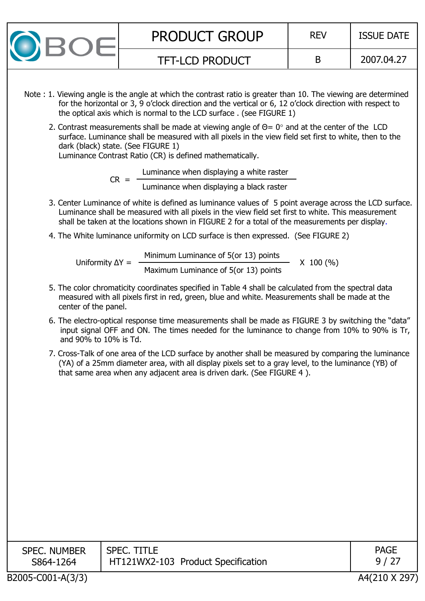| <b>PRODUCT GROUP</b>   | <b>REV</b> | <b>ISSUE DATE</b> |
|------------------------|------------|-------------------|
| <b>TFT-LCD PRODUCT</b> |            | 2007.04.27        |

- Note : 1. Viewing angle is the angle at which the contrast ratio is greater than 10. The viewing are determined for the horizontal or 3, 9 o'clock direction and the vertical or 6, 12 o'clock direction with respect to the optical axis which is normal to the LCD surface . (see FIGURE 1)
	- 2. Contrast measurements shall be made at viewing angle of  $\Theta = 0^\circ$  and at the center of the LCD surface. Luminance shall be measured with all pixels in the view field set first to white, then to the dark (black) state. (See FIGURE 1) Luminance Contrast Ratio (CR) is defined mathematically.

Luminance when displaying a white raster

Luminance when displaying a black raster

- 3. Center Luminance of white is defined as luminance values of 5 point average across the LCD surface. Luminance shall be measured with all pixels in the view field set first to white. This measurement shall be taken at the locations shown in FIGURE 2 for a total of the measurements per display.
- 4. The White luminance uniformity on LCD surface is then expressed. (See FIGURE 2)

 $CR =$ 

Uniformity  $\Delta Y =$ Minimum Luminance of 5(or 13) points<br>Maximum Luminance of 5(or 13) points X 100 (%)

- 5. The color chromaticity coordinates specified in Table 4 shall be calculated from the spectral data measured with all pixels first in red, green, blue and white. Measurements shall be made at the center of the panel.
- 6. The electro-optical response time measurements shall be made as FIGURE 3 by switching the "data" input signal OFF and ON. The times needed for the luminance to change from 10% to 90% is Tr, and 90% to 10% is Td.
- 7. Cross-Talk of one area of the LCD surface by another shall be measured by comparing the luminance (YA) of a 25mm diameter area, with all display pixels set to a gray level, to the luminance (YB) of that same area when any adjacent area is driven dark. (See FIGURE 4).

| <b>SPEC. NUMBER</b><br>S864-1264 | <b>SPEC. TITLE</b><br>HT121WX2-103 Product Specification | <b>PAGE</b> |
|----------------------------------|----------------------------------------------------------|-------------|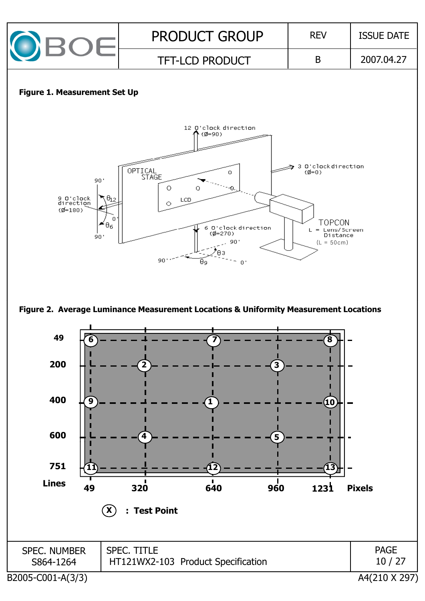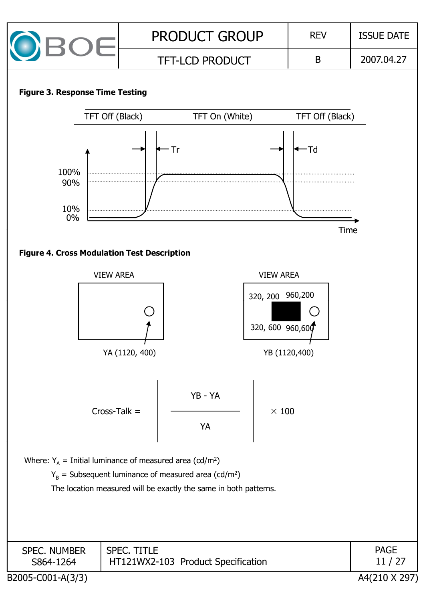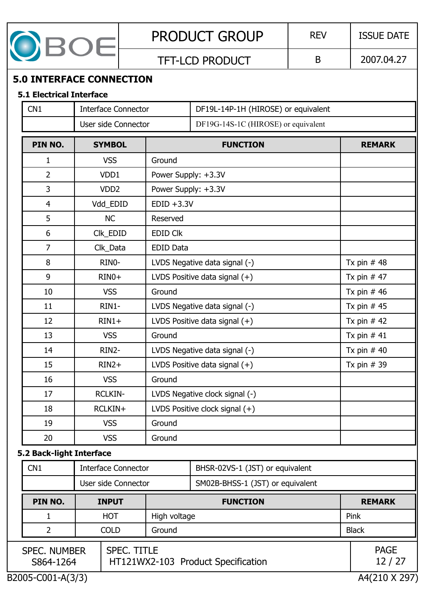

## TFT-LCD PRODUCT  $\vert$  B  $\vert$  2007.04.27

## **5.0 INTERFACE CONNECTION**

#### **5.1 Electrical Interface**

| CN1                      |                                                                                              | <b>Interface Connector</b> |                                 | DF19L-14P-1H (HIROSE) or equivalent           |                      |  |              |
|--------------------------|----------------------------------------------------------------------------------------------|----------------------------|---------------------------------|-----------------------------------------------|----------------------|--|--------------|
|                          |                                                                                              | User side Connector        |                                 |                                               |                      |  |              |
| PIN NO.                  |                                                                                              | <b>SYMBOL</b>              |                                 | <b>FUNCTION</b>                               | <b>REMARK</b>        |  |              |
| 1                        |                                                                                              | <b>VSS</b>                 | Ground                          |                                               |                      |  |              |
| $\overline{2}$           |                                                                                              | VDD1                       | Power Supply: +3.3V             |                                               |                      |  |              |
| 3                        |                                                                                              | VDD <sub>2</sub>           | Power Supply: +3.3V             |                                               |                      |  |              |
| $\overline{4}$           |                                                                                              | Vdd_EDID                   | $EDID +3.3V$                    |                                               |                      |  |              |
| 5                        |                                                                                              | <b>NC</b>                  | Reserved                        |                                               |                      |  |              |
| 6                        |                                                                                              | Clk_EDID                   | <b>EDID CIK</b>                 |                                               |                      |  |              |
| $\overline{7}$           |                                                                                              | Clk_Data                   | <b>EDID Data</b>                |                                               |                      |  |              |
| 8                        |                                                                                              | RINO-                      |                                 | LVDS Negative data signal (-)                 | Tx pin $#48$         |  |              |
| 9                        |                                                                                              | $RINO+$                    |                                 | LVDS Positive data signal $(+)$               | Tx pin $#47$         |  |              |
| 10                       |                                                                                              | <b>VSS</b>                 | Ground                          | Tx pin $#46$                                  |                      |  |              |
| 11                       |                                                                                              | RIN1-                      | LVDS Negative data signal (-)   | Tx pin $#45$                                  |                      |  |              |
| 12                       |                                                                                              | $RIN1+$                    | LVDS Positive data signal $(+)$ |                                               |                      |  | Tx pin $#42$ |
| 13                       |                                                                                              | <b>VSS</b>                 | Ground                          | Tx pin $#41$                                  |                      |  |              |
| 14                       |                                                                                              | RIN2-                      |                                 | LVDS Negative data signal (-)<br>Tx pin $#40$ |                      |  |              |
| 15                       |                                                                                              | $RIN2+$                    | LVDS Positive data signal $(+)$ |                                               | Tx pin $# 39$        |  |              |
| 16                       |                                                                                              | <b>VSS</b>                 | Ground                          |                                               |                      |  |              |
| 17                       |                                                                                              | <b>RCLKIN-</b>             |                                 | LVDS Negative clock signal (-)                |                      |  |              |
| 18                       |                                                                                              | RCLKIN+                    |                                 | LVDS Positive clock signal (+)                |                      |  |              |
| 19                       |                                                                                              | <b>VSS</b>                 | Ground                          |                                               |                      |  |              |
| 20                       |                                                                                              | <b>VSS</b>                 | Ground                          |                                               |                      |  |              |
| 5.2 Back-light Interface |                                                                                              |                            |                                 |                                               |                      |  |              |
| CN1                      |                                                                                              | <b>Interface Connector</b> |                                 | BHSR-02VS-1 (JST) or equivalent               |                      |  |              |
|                          |                                                                                              | User side Connector        |                                 | SM02B-BHSS-1 (JST) or equivalent              |                      |  |              |
| PIN NO.                  |                                                                                              | <b>INPUT</b>               |                                 | <b>FUNCTION</b>                               | <b>REMARK</b>        |  |              |
| 1                        |                                                                                              | <b>HOT</b>                 | High voltage                    |                                               | Pink                 |  |              |
| 2                        |                                                                                              | <b>COLD</b>                | Ground                          |                                               | <b>Black</b>         |  |              |
|                          | <b>SPEC. TITLE</b><br><b>SPEC. NUMBER</b><br>HT121WX2-103 Product Specification<br>S864-1264 |                            |                                 |                                               | <b>PAGE</b><br>12/27 |  |              |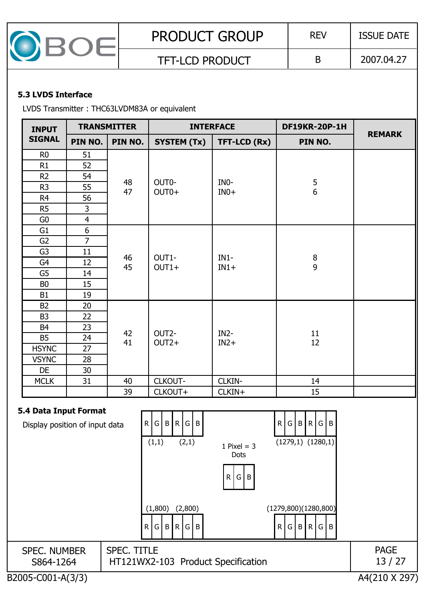| <b>PRODUCT GROUP</b>   | <b>REV</b> | <b>ISSUE DATE</b> |
|------------------------|------------|-------------------|
| <b>TFT-LCD PRODUCT</b> |            | 2007.04.27        |

#### **5.3 LVDS Interface**

LVDS Transmitter : THC63LVDM83A or equivalent

| <b>INPUT</b>   |                | <b>TRANSMITTER</b> |                    | <b>INTERFACE</b> | <b>DF19KR-20P-1H</b>                  | <b>REMARK</b>     |  |                                       |
|----------------|----------------|--------------------|--------------------|------------------|---------------------------------------|-------------------|--|---------------------------------------|
| <b>SIGNAL</b>  | PIN NO.        | PIN NO.            | <b>SYSTEM (Tx)</b> | TFT-LCD (Rx)     | PIN NO.                               |                   |  |                                       |
| R <sub>0</sub> | 51             |                    |                    |                  |                                       |                   |  |                                       |
| R1             | 52             |                    |                    |                  |                                       |                   |  |                                       |
| R2             | 54             |                    |                    |                  |                                       |                   |  |                                       |
| R <sub>3</sub> | 55             | 48<br>47           | OUT0-<br>$OUT0+$   | INO-<br>$IN0+$   | $\begin{array}{c} 5 \\ 6 \end{array}$ |                   |  |                                       |
| R <sub>4</sub> | 56             |                    |                    |                  |                                       |                   |  |                                       |
| R5             | $\overline{3}$ |                    |                    |                  |                                       |                   |  |                                       |
| G0             | $\overline{4}$ |                    |                    |                  |                                       |                   |  |                                       |
| G <sub>1</sub> | 6              |                    |                    |                  |                                       |                   |  |                                       |
| G <sub>2</sub> | $\overline{7}$ |                    | $IN1-$<br>OUT1-    |                  |                                       |                   |  |                                       |
| G <sub>3</sub> | 11             | 46                 |                    |                  |                                       |                   |  |                                       |
| G4             | 12             |                    |                    |                  | 45                                    | $OUT1+$<br>$IN1+$ |  | $\begin{array}{c} 8 \\ 9 \end{array}$ |
| G <sub>5</sub> | 14             |                    |                    |                  |                                       |                   |  |                                       |
| B <sub>0</sub> | 15             |                    |                    |                  |                                       |                   |  |                                       |
| B1             | 19             |                    |                    |                  |                                       |                   |  |                                       |
| <b>B2</b>      | 20             |                    |                    |                  |                                       |                   |  |                                       |
| B <sub>3</sub> | 22             |                    |                    |                  |                                       |                   |  |                                       |
| B <sub>4</sub> | 23             | 42                 | OUT2-              | $IN2-$           |                                       |                   |  |                                       |
| <b>B5</b>      | 24             | 41                 | $OUT2+$            | $IN2+$           | $11\,$<br>12                          |                   |  |                                       |
| <b>HSYNC</b>   | 27             |                    |                    |                  |                                       |                   |  |                                       |
| <b>VSYNC</b>   | 28             |                    |                    |                  |                                       |                   |  |                                       |
| DE             | 30             |                    |                    |                  |                                       |                   |  |                                       |
| <b>MCLK</b>    | 31             | 40                 | CLKOUT-            | CLKIN-           | 14                                    |                   |  |                                       |
|                |                | 39                 | CLKOUT+            | CLKIN+           | 15                                    |                   |  |                                       |

#### **5.4 Data Input Format**

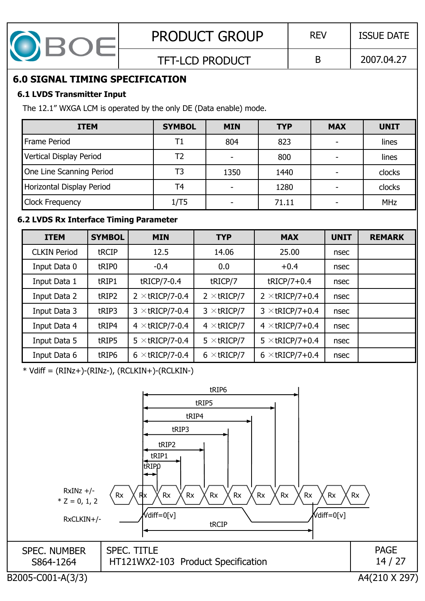

## **6.0 SIGNAL TIMING SPECIFICATION**

#### **6.1 LVDS Transmitter Input**

The 12.1" WXGA LCM is operated by the only DE (Data enable) mode.

| <b>ITEM</b>               | <b>SYMBOL</b> | <b>MIN</b> | <b>TYP</b> | <b>MAX</b> | <b>UNIT</b> |
|---------------------------|---------------|------------|------------|------------|-------------|
| Frame Period              | T1            | 804        | 823        |            | lines       |
| Vertical Display Period   | Т2            |            | 800        |            | lines       |
| One Line Scanning Period  | T3            | 1350       | 1440       |            | clocks      |
| Horizontal Display Period | T4            |            | 1280       |            | clocks      |
| <b>Clock Frequency</b>    | 1/T5          |            | 71.11      |            | <b>MHz</b>  |

## **6.2 LVDS Rx Interface Timing Parameter**

| <b>ITEM</b>         | <b>SYMBOL</b> | <b>MIN</b>             | <b>TYP</b>         | <b>MAX</b>             | <b>UNIT</b> | <b>REMARK</b> |
|---------------------|---------------|------------------------|--------------------|------------------------|-------------|---------------|
| <b>CLKIN Period</b> | tRCIP         | 12.5                   | 14.06              | 25.00                  | nsec        |               |
| Input Data 0        | tRIP0         | $-0.4$                 | 0.0                | $+0.4$                 | nsec        |               |
| Input Data 1        | tRIP1         | tRICP/7-0.4            | tRICP/7            | $tRICP/7+0.4$          | nsec        |               |
| Input Data 2        | tRIP2         | $2 \times tRICP/7-0.4$ | $2 \times tRICP/7$ | $2 \times$ tRICP/7+0.4 | nsec        |               |
| Input Data 3        | tRIP3         | $3 \times$ tricp/7-0.4 | $3 \times$ tricp/7 | $3 \times$ tRICP/7+0.4 | nsec        |               |
| Input Data 4        | tRIP4         | $4 \times$ tricp/7-0.4 | $4 \times tRICP/7$ | $4 \times tRICP/7+0.4$ | nsec        |               |
| Input Data 5        | tRIP5         | $5 \times$ tricp/7-0.4 | $5 \times$ tricp/7 | $5 \times$ tRICP/7+0.4 | nsec        |               |
| Input Data 6        | tRIP6         | $6 \times$ tricp/7-0.4 | $6 \times$ tricp/7 | $6 \times$ tricp/7+0.4 | nsec        |               |

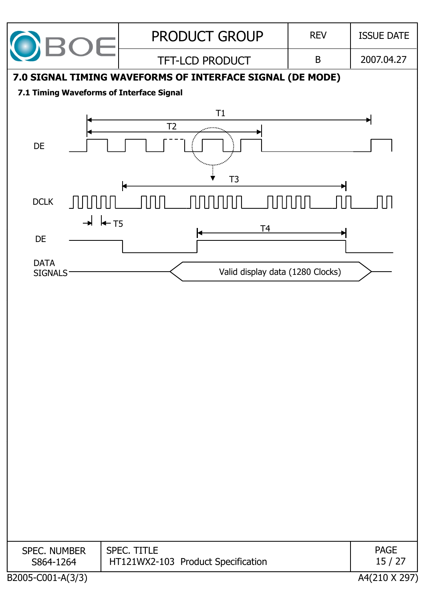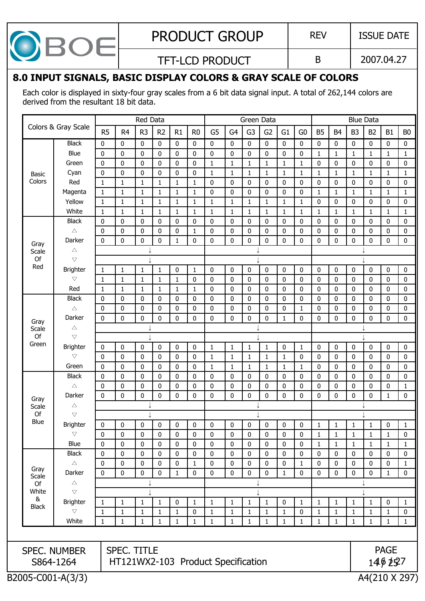| $\overline{\phantom{a}}$<br>G.<br>I<br>7 |
|------------------------------------------|
|------------------------------------------|

TFT-LCD PRODUCT  $\vert$  B  $\vert$  2007.04.27

## **8.0 INPUT SIGNALS, BASIC DISPLAY COLORS & GRAY SCALE OF COLORS**

Each color is displayed in sixty-four gray scales from a 6 bit data signal input. A total of 262,144 colors are derived from the resultant 18 bit data.

|              |                                   |                |                                    | Red Data       |                |              |                |                              |                             | Green Data        |                   |                   |                   |                  |                |                | <b>Blue Data</b> |              |                           |
|--------------|-----------------------------------|----------------|------------------------------------|----------------|----------------|--------------|----------------|------------------------------|-----------------------------|-------------------|-------------------|-------------------|-------------------|------------------|----------------|----------------|------------------|--------------|---------------------------|
|              | Colors & Gray Scale               | R <sub>5</sub> | R <sub>4</sub>                     | R <sub>3</sub> | R <sub>2</sub> | R1           | R <sub>0</sub> | G <sub>5</sub>               | G <sub>4</sub>              | G <sub>3</sub>    | G <sub>2</sub>    | G1                | G <sub>0</sub>    | <b>B5</b>        | B <sub>4</sub> | B <sub>3</sub> | B <sub>2</sub>   | <b>B1</b>    | B <sub>0</sub>            |
|              | <b>Black</b>                      | $\mathbf 0$    | 0                                  | 0              | 0              | $\mathbf 0$  | $\mathbf 0$    | $\mathbf 0$                  | $\pmb{0}$                   | $\mathbf 0$       | $\bf{0}$          | 0                 | $\bf{0}$          | 0                | 0              | $\mathbf 0$    | $\pmb{0}$        | 0            | $\bf{0}$                  |
|              | Blue                              | $\mathbf{0}$   | $\mathbf 0$                        | 0              | $\mathbf{0}$   | $\bf{0}$     | $\mathbf{0}$   | $\mathbf{0}$                 | $\mathbf 0$                 | $\mathbf 0$       | 0                 | 0                 | 0                 | $\mathbf{1}$     | $\mathbf{1}$   | $\mathbf{1}$   | $\mathbf{1}$     | $\mathbf{1}$ | $\mathbf{1}$              |
|              | Green                             | 0              | 0                                  | 0              | 0              | $\mathbf 0$  | 0              | 1                            | $\mathbf{1}$                | 1                 | 1                 | $\mathbf{1}$      | $\mathbf{1}$      | $\mathbf 0$      | 0              | $\mathbf 0$    | $\bf{0}$         | 0            | 0                         |
| Basic        | Cyan                              | 0              | 0                                  | 0              | $\mathbf{0}$   | 0            | $\mathbf{0}$   | $\mathbf{1}$                 | $\mathbf{1}$                | 1                 | 1                 | $\mathbf{1}$      | 1                 | 1                | $\mathbf{1}$   | $\mathbf{1}$   | 1                | $\mathbf{1}$ | $\mathbf{1}$              |
| Colors       | Red                               | $\mathbf{1}$   | $\mathbf{1}$                       | $\mathbf{1}$   | $\mathbf{1}$   | $\mathbf 1$  | $\mathbf{1}$   | 0                            | $\mathbf 0$                 | $\mathbf 0$       | 0                 | 0                 | 0                 | $\mathbf 0$      | 0              | $\pmb{0}$      | $\mathbf 0$      | 0            |                           |
|              | Magenta                           | $\mathbf{1}$   | $\mathbf{1}$                       | $\mathbf{1}$   | $\mathbf{1}$   | $\mathbf{1}$ | $\mathbf{1}$   | 0                            | $\mathbf 0$                 | $\mathbf 0$       | 0                 | 0                 | 0                 | $\mathbf{1}$     | $\mathbf{1}$   | $\mathbf{1}$   | $\mathbf{1}$     | $\mathbf{1}$ | $\mathbf 1$               |
|              | Yellow                            | $\mathbf 1$    | $\mathbf 1$                        | $\mathbf{1}$   | $\mathbf{1}$   | $\mathbf{1}$ | $\mathbf{1}$   | $\mathbf{1}$                 | $\mathbf{1}$                | $\mathbf{1}$      | $\mathbf{1}$      | $\mathbf 1$       | $\mathbf{1}$      | 0                | $\mathbf 0$    | $\mathbf 0$    | 0                | 0            | $\pmb{0}$<br>$\mathbf{1}$ |
|              | White                             | $\mathbf{1}$   | $\mathbf{1}$                       | $\mathbf{1}$   | $\mathbf{1}$   | $\mathbf{1}$ | $\mathbf{1}$   | $\mathbf{1}$                 | $\mathbf{1}$                | $\mathbf{1}$      | $\mathbf{1}$      | $\mathbf{1}$      | $\mathbf{1}$      | $\mathbf{1}$     | $\mathbf{1}$   | $\mathbf{1}$   | $\mathbf{1}$     | $\mathbf{1}$ |                           |
|              | <b>Black</b>                      | 0              | $\mathbf 0$                        | 0              | 0              | $\mathbf 0$  | 0              | 0                            | $\mathbf 0$                 | 0                 | 0                 | 0                 | 0                 | $\mathbf 0$      | $\mathbf 0$    | $\mathbf 0$    | 0                | 0            |                           |
|              | $\triangle$                       | 0              | $\mathbf 0$                        | 0              | 0              | $\pmb{0}$    | $\mathbf{1}$   | 0                            | $\pmb{0}$                   | $\mathbf 0$       | 0                 | 0                 | 0                 | 0                | 0              | $\pmb{0}$      | $\mathbf 0$      | 0            |                           |
| Gray         | Darker                            | 0              | $\mathbf 0$                        | 0              | 0              | 1            | 0              | 0                            | $\mathbf 0$                 | $\mathbf 0$       | 0                 | 0                 | 0                 | 0                | 0              | $\mathbf 0$    | 0                | 0            | 0                         |
| Scale        | Δ                                 |                |                                    |                |                |              |                |                              |                             |                   |                   |                   |                   |                  |                |                |                  |              |                           |
| Of<br>Red    | $\bigtriangledown$                |                |                                    |                |                |              |                |                              |                             |                   |                   |                   |                   |                  |                |                |                  |              |                           |
|              | <b>Brighter</b>                   | $\mathbf{1}$   | $\mathbf{1}$                       | $\mathbf{1}$   | $\mathbf{1}$   | $\bf{0}$     | $\mathbf{1}$   | $\mathbf 0$                  | $\mathbf 0$                 | 0                 | 0                 | 0                 | 0                 | $\mathbf 0$      | $\mathbf 0$    | $\pmb{0}$      | 0                | 0            | 0<br>0                    |
|              | $\bigtriangledown$                | $\mathbf{1}$   | $\mathbf{1}$                       | $\mathbf{1}$   | $\mathbf{1}$   | $\mathbf{1}$ | 0              | 0                            | $\mathbf 0$                 | 0                 | 0                 | 0                 | 0                 | 0                | $\mathbf 0$    | $\mathbf 0$    | 0                | 0            |                           |
|              | Red                               | $\mathbf 1$    | $\mathbf{1}$                       | $\mathbf{1}$   | $\mathbf{1}$   | $\mathbf 1$  | $\mathbf{1}$   | $\mathbf 0$                  | $\pmb{0}$                   | $\mathbf 0$       | 0                 | 0                 | 0                 | 0                | $\mathbf 0$    | $\pmb{0}$      | 0                | 0            | 0<br>0                    |
|              | <b>Black</b>                      | 0              | $\mathbf 0$                        | $\mathbf 0$    | 0              | $\mathbf 0$  | 0              | $\mathbf 0$                  | $\mathbf 0$                 | 0                 | 0                 | 0                 | 0                 | $\mathbf 0$      | $\mathbf 0$    | $\mathbf 0$    | $\mathbf 0$      | 0            | 0                         |
|              | $\triangle$                       | 0              | $\pmb{0}$                          | $\pmb{0}$      | 0              | $\pmb{0}$    | 0              | 0                            | $\pmb{0}$                   | $\mathbf 0$       | 0                 | 0                 | $\mathbf{1}$      | 0                | $\mathbf 0$    | 0              | $\mathbf 0$      | 0            |                           |
| Gray         | Darker                            | 0              | $\mathbf 0$                        | 0              | 0              | 0            | 0              | 0                            | $\mathbf 0$                 | $\mathbf 0$       | 0                 | $\mathbf{1}$      | 0                 | 0                | $\mathbf 0$    | 0              | 0                | 0            | 0                         |
| Scale<br>Of  | $\triangle$<br>$\bigtriangledown$ |                |                                    |                |                |              |                |                              |                             |                   |                   |                   |                   |                  |                |                |                  |              |                           |
| Green        | <b>Brighter</b>                   |                | $\mathbf 0$                        | $\pmb{0}$      | 0              | $\pmb{0}$    | $\pmb{0}$      | $\mathbf{1}$                 | $\mathbf 1$                 |                   | $\mathbf{1}$      | 0                 |                   | $\mathbf 0$      | 0              | $\pmb{0}$      | $\mathbf 0$      | 0            | 0                         |
|              | $\bigtriangledown$                | 0<br>0         | $\mathbf 0$                        | 0              | 0              | $\mathbf 0$  | $\mathbf{0}$   |                              |                             | $\mathbf{1}$      |                   |                   | $\mathbf{1}$<br>0 |                  | $\mathbf{0}$   | $\mathbf 0$    | 0                | 0            | 0                         |
|              | Green                             | 0              | $\mathbf 0$                        | 0              | 0              | $\pmb{0}$    | 0              | $\mathbf{1}$<br>$\mathbf{1}$ | $\mathbf{1}$                | 1<br>$\mathbf{1}$ | 1                 | 1<br>$\mathbf{1}$ |                   | 0<br>$\mathbf 0$ | $\mathbf 0$    | $\mathbf 0$    | 0                | 0            |                           |
|              | <b>Black</b>                      | 0              | $\mathbf 0$                        | 0              | $\mathbf{0}$   | $\bf{0}$     | $\mathbf{0}$   | 0                            | $\mathbf{1}$<br>$\mathbf 0$ | $\mathbf 0$       | $\mathbf{1}$<br>0 | $\mathbf 0$       | $\mathbf{1}$<br>0 | $\mathbf 0$      | $\mathbf{0}$   | $\mathbf 0$    | $\mathbf 0$      | 0            | 0<br>0                    |
|              | $\triangle$                       | 0              | $\pmb{0}$                          | $\pmb{0}$      | 0              | $\pmb{0}$    | 0              | 0                            | $\pmb{0}$                   | $\mathbf 0$       | 0                 | $\pmb{0}$         | 0                 | 0                | $\mathbf 0$    | $\pmb{0}$      | $\mathbf 0$      | 0            |                           |
|              | Darker                            | 0              | $\mathbf 0$                        | 0              | 0              | 0            | $\mathbf{0}$   | 0                            | $\mathbf 0$                 | $\mathbf{0}$      | 0                 | 0                 | 0                 | 0                | $\mathbf{0}$   | $\mathbf 0$    | 0                | $\mathbf{1}$ | $\mathbf 1$<br>$\pmb{0}$  |
| Gray         | $\triangle$                       |                |                                    |                |                |              |                |                              |                             |                   |                   |                   |                   |                  |                |                |                  |              |                           |
| Scale<br>Of  | $\bigtriangledown$                |                |                                    |                |                |              |                |                              |                             |                   |                   |                   |                   |                  |                |                |                  |              |                           |
| Blue         | <b>Brighter</b>                   | 0              | $\mathbf 0$                        | 0              | 0              | $\pmb{0}$    | 0              | 0                            | $\mathbf 0$                 | 0                 | 0                 | 0                 | 0                 | 1                | 1              | $\mathbf{1}$   | 1                | 0            |                           |
|              | $\bigtriangledown$                | $\mathbf{0}$   | $\mathbf 0$                        | $\mathbf{0}$   | $\mathbf{0}$   | $\mathbf{0}$ | $\mathbf{0}$   | $\mathbf{0}$                 | $\mathbf{0}$                | $\mathbf{0}$      | $\mathbf{0}$      | $\mathbf{0}$      | $\mathbf{0}$      | $\mathbf{1}$     | $\mathbf{1}$   | $\mathbf{1}$   | $\mathbf{1}$     | $\mathbf{1}$ | 0                         |
|              | Blue                              | 0              | $\mathbf 0$                        | 0              | 0              | $\mathbf 0$  | 0              | 0                            | $\mathbf 0$                 | $\mathbf 0$       | 0                 | 0                 | 0                 | $\mathbf{1}$     | $\mathbf{1}$   | $\mathbf{1}$   | $\mathbf{1}$     | $\mathbf{1}$ | $\mathbf{1}$              |
|              | <b>Black</b>                      | 0              | 0                                  | 0              | $\pmb{0}$      | 0            | 0              | 0                            | $\pmb{0}$                   | 0                 | 0                 | $\pmb{0}$         | 0                 | $\mathbf 0$      | $\pmb{0}$      | $\pmb{0}$      | $\pmb{0}$        | 0            |                           |
|              | $\triangle$                       | 0              | 0                                  | 0              | 0              | 0            | 1              | 0                            | 0                           | 0                 | 0                 | 0                 | $\mathbf{1}$      | 0                | 0              | 0              | 0                | 0            | 1                         |
| Gray         | Darker                            | 0              | $\mathbf 0$                        | 0              | 0              | $\mathbf{1}$ | 0              | 0                            | $\pmb{0}$                   | 0                 | 0                 | $\mathbf{1}$      | 0                 | 0                | $\mathbf 0$    | $\pmb{0}$      | 0                | $\mathbf{1}$ |                           |
| Scale<br>Of  | $\triangle$                       |                |                                    |                |                |              |                |                              |                             |                   |                   |                   |                   |                  |                |                |                  |              |                           |
| White        | $\bigtriangledown$                |                |                                    |                |                |              |                |                              |                             |                   |                   |                   |                   |                  |                |                |                  |              |                           |
| &            | <b>Brighter</b>                   | 1              | $\mathbf{1}$                       | 1              | 1              | 0            | $\mathbf{1}$   | $\mathbf{1}$                 | 1                           | 1                 | 1                 | 0                 | 1                 | 1                | 1              | 1              | 1                | 0            |                           |
| <b>Black</b> | $\bigtriangledown$                | $\mathbf{1}$   | $\mathbf{1}$                       | $\mathbf{1}$   | $\mathbf{1}$   | $\mathbf{1}$ | 0              | $\mathbf{1}$                 | $\mathbf{1}$                | $\mathbf{1}$      | $\mathbf{1}$      | $\mathbf{1}$      | 0                 | 1                | $\mathbf{1}$   | $\mathbf{1}$   | $\mathbf{1}$     | $\mathbf{1}$ | 0                         |
|              | White                             | $\mathbf 1$    | $\mathbf{1}$                       | $\mathbf{1}$   | $\mathbf{1}$   | $\mathbf{1}$ | $\mathbf{1}$   | $\mathbf{1}$                 | $\mathbf{1}$                | $\mathbf{1}$      | $\mathbf{1}$      | $\mathbf{1}$      | $\mathbf{1}$      | $\mathbf{1}$     | $\mathbf{1}$   | $\mathbf{1}$   | $\mathbf{1}$     | $\mathbf{1}$ | $\mathbf 1$               |
|              |                                   |                |                                    |                |                |              |                |                              |                             |                   |                   |                   |                   |                  |                |                |                  |              |                           |
|              | <b>SPEC. NUMBER</b>               |                | <b>SPEC. TITLE</b>                 |                |                |              |                |                              |                             |                   |                   |                   |                   |                  |                |                |                  | <b>PAGE</b>  |                           |
|              | S864-1264                         |                | HT121WX2-103 Product Specification |                |                |              |                |                              |                             |                   |                   |                   |                   |                  |                |                |                  | 1462527      |                           |
|              |                                   |                |                                    |                |                |              |                |                              |                             |                   |                   |                   |                   |                  |                |                |                  |              |                           |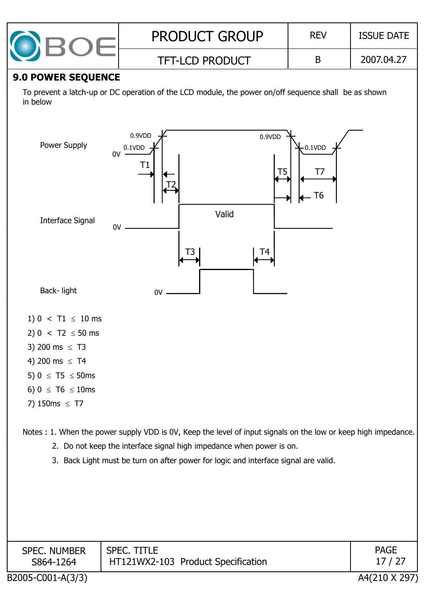| <b>PRODUCT GROUP</b>   | <b>REV</b> | <b>ISSUE DATE</b> |
|------------------------|------------|-------------------|
| <b>TFT-LCD PRODUCT</b> |            | 2007.04.27        |

#### **9.0 POWER SEQUENCE**

To prevent a latch-up or DC operation of the LCD module, the power on/off sequence shall be as shown in below



- 6)  $0 \leq T6 \leq 10$ ms
- 7)  $150ms \leq T7$

Notes : 1. When the power supply VDD is 0V, Keep the level of input signals on the low or keep high impedance.

- 2. Do not keep the interface signal high impedance when power is on.
- 3. Back Light must be turn on after power for logic and interface signal are valid.

| <b>SPEC. NUMBER</b><br>S864-1264 | <b>SPEC. TITLE</b><br>HT121WX2-103 Product Specification | <b>PAGE</b><br>17 / 27 |
|----------------------------------|----------------------------------------------------------|------------------------|
| B2005-C001-A(3/3)                |                                                          | A4(210 X 297)          |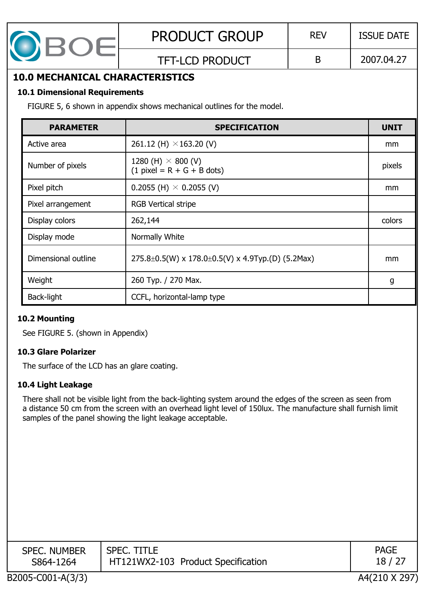

### TFT-LCD PRODUCT B 2007.04.27

## **10.0 MECHANICAL CHARACTERISTICS**

#### **10.1 Dimensional Requirements**

FIGURE 5, 6 shown in appendix shows mechanical outlines for the model.

| <b>PARAMETER</b>    | <b>SPECIFICATION</b>                                                   | <b>UNIT</b> |
|---------------------|------------------------------------------------------------------------|-------------|
| Active area         | 261.12 (H) $\times$ 163.20 (V)                                         | mm          |
| Number of pixels    | 1280 (H) $\times$ 800 (V)<br>$(1$ pixel = R + G + B dots)              | pixels      |
| Pixel pitch         | 0.2055 (H) $\times$ 0.2055 (V)                                         | mm          |
| Pixel arrangement   | <b>RGB Vertical stripe</b>                                             |             |
| Display colors      | 262,144                                                                | colors      |
| Display mode        | Normally White                                                         |             |
| Dimensional outline | $275.8 \pm 0.5(W) \times 178.0 \pm 0.5(V) \times 4.9$ Typ.(D) (5.2Max) | mm          |
| Weight              | 260 Typ. / 270 Max.                                                    | g           |
| Back-light          | CCFL, horizontal-lamp type                                             |             |

#### **10.2 Mounting**

See FIGURE 5. (shown in Appendix)

#### **10.3 Glare Polarizer**

The surface of the LCD has an glare coating.

#### **10.4 Light Leakage**

There shall not be visible light from the back-lighting system around the edges of the screen as seen from a distance 50 cm from the screen with an overhead light level of 150lux. The manufacture shall furnish limit samples of the panel showing the light leakage acceptable.

| <b>SPEC. NUMBER</b> | SPEC. TITLE                        | <b>PAGE</b> |
|---------------------|------------------------------------|-------------|
| S864-1264           | HT121WX2-103 Product Specification | 18 /        |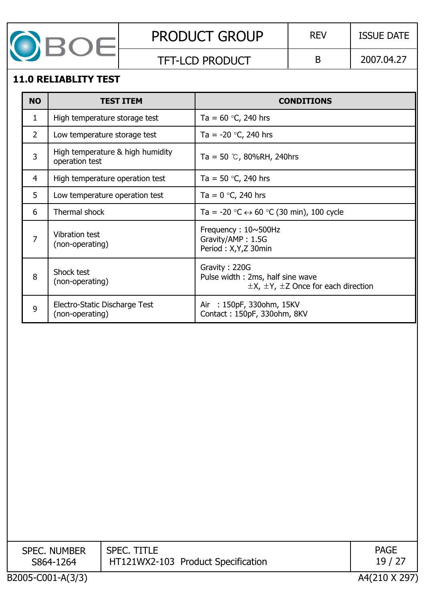

TFT-LCD PRODUCT  $\vert$  B  $\vert$  2007.04.27

#### **11.0 RELIABLITY TEST**

| <b>NO</b> | <b>TEST ITEM</b>                                   | <b>CONDITIONS</b>                                                                                      |  |  |  |  |
|-----------|----------------------------------------------------|--------------------------------------------------------------------------------------------------------|--|--|--|--|
| 1         | High temperature storage test                      | Ta = $60$ °C, 240 hrs                                                                                  |  |  |  |  |
| 2         | Low temperature storage test                       | Ta = $-20$ °C, 240 hrs                                                                                 |  |  |  |  |
| 3         | High temperature & high humidity<br>operation test | Ta = 50 $\degree$ C, 80%RH, 240hrs                                                                     |  |  |  |  |
| 4         | High temperature operation test                    | Ta = 50 $\degree$ C, 240 hrs                                                                           |  |  |  |  |
| 5         | Low temperature operation test                     | Ta = $0^{\circ}$ C, 240 hrs                                                                            |  |  |  |  |
| 6         | Thermal shock                                      | Ta = -20 $\degree$ C $\leftrightarrow$ 60 $\degree$ C (30 min), 100 cycle                              |  |  |  |  |
| 7         | Vibration test<br>(non-operating)                  | Frequency: $10 \sim 500$ Hz<br>Gravity/AMP: 1.5G<br>Period: X, Y, Z 30min                              |  |  |  |  |
| 8         | Shock test<br>(non-operating)                      | Gravity: 220G<br>Pulse width: 2ms, half sine wave<br>$\pm$ X, $\pm$ Y, $\pm$ Z Once for each direction |  |  |  |  |
| 9         | Electro-Static Discharge Test<br>(non-operating)   | Air : 150pF, 330ohm, 15KV<br>Contact: 150pF, 330ohm, 8KV                                               |  |  |  |  |

| <b>SPEC. NUMBER</b> | <b>SPEC. TITLE</b>                 | <b>PAGE</b>   |
|---------------------|------------------------------------|---------------|
| S864-1264           | HT121WX2-103 Product Specification | 19 / 27       |
|                     |                                    |               |
| B2005-C001-A(3/3)   |                                    | A4(210 X 297) |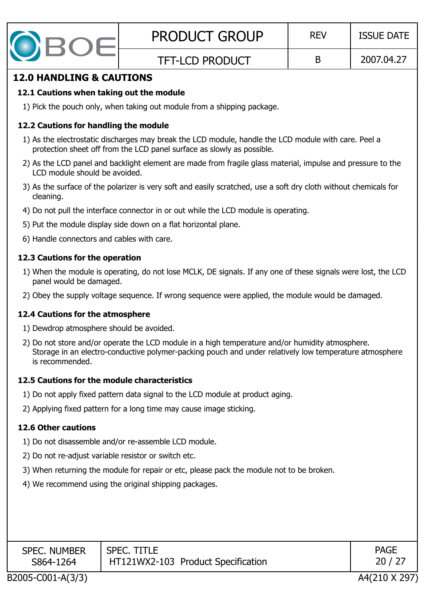

#### **12.0 HANDLING & CAUTIONS**

### **12.1 Cautions when taking out the module**

1) Pick the pouch only, when taking out module from a shipping package.

### **12.2 Cautions for handling the module**

- 1) As the electrostatic discharges may break the LCD module, handle the LCD module with care. Peel a protection sheet off from the LCD panel surface as slowly as possible.
- 2) As the LCD panel and backlight element are made from fragile glass material, impulse and pressure to the LCD module should be avoided.
- 3) As the surface of the polarizer is very soft and easily scratched, use a soft dry cloth without chemicals for cleaning.
- 4) Do not pull the interface connector in or out while the LCD module is operating.
- 5) Put the module display side down on a flat horizontal plane.
- 6) Handle connectors and cables with care.

## **12.3 Cautions for the operation**

- 1) When the module is operating, do not lose MCLK, DE signals. If any one of these signals were lost, the LCD panel would be damaged.
- 2) Obey the supply voltage sequence. If wrong sequence were applied, the module would be damaged.

### **12.4 Cautions for the atmosphere**

- 1) Dewdrop atmosphere should be avoided.
- 2) Do not store and/or operate the LCD module in a high temperature and/or humidity atmosphere. Storage in an electro-conductive polymer-packing pouch and under relatively low temperature atmosphere is recommended.

## **12.5 Cautions for the module characteristics**

- 1) Do not apply fixed pattern data signal to the LCD module at product aging.
- 2) Applying fixed pattern for a long time may cause image sticking.

## **12.6 Other cautions**

- 1) Do not disassemble and/or re-assemble LCD module.
- 2) Do not re-adjust variable resistor or switch etc.
- 3) When returning the module for repair or etc, please pack the module not to be broken.
- 4) We recommend using the original shipping packages.

| HT121WX2-103 Product Specification<br>20/27<br>S864-1264 | <b>SPEC. NUMBER</b> | <b>SPEC. TITLE</b> | <b>PAGE</b> |
|----------------------------------------------------------|---------------------|--------------------|-------------|
|----------------------------------------------------------|---------------------|--------------------|-------------|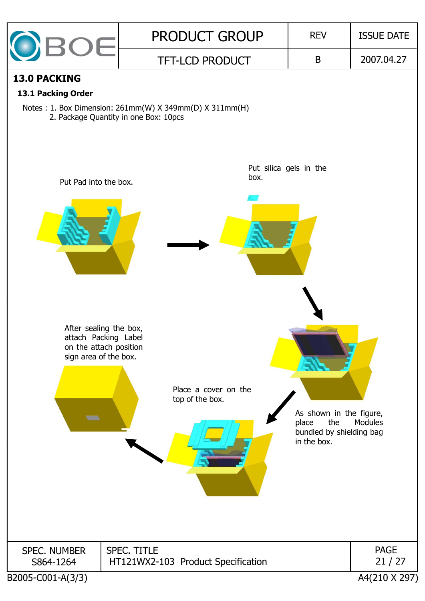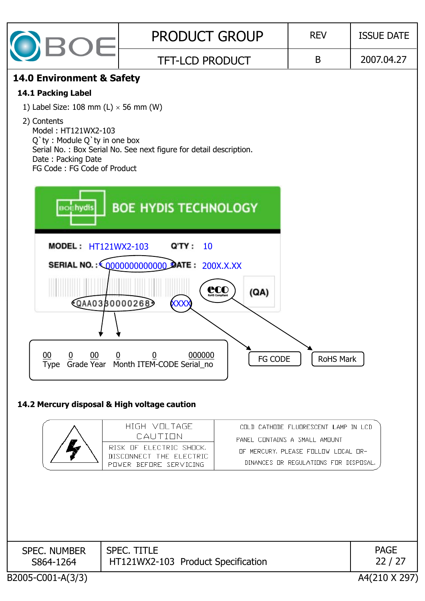| <b>BOE</b>                                                                                                                                                                                                                 | <b>PRODUCT GROUP</b>                                                                                                       | <b>REV</b>                                                                                                                                            | <b>ISSUE DATE</b>    |
|----------------------------------------------------------------------------------------------------------------------------------------------------------------------------------------------------------------------------|----------------------------------------------------------------------------------------------------------------------------|-------------------------------------------------------------------------------------------------------------------------------------------------------|----------------------|
|                                                                                                                                                                                                                            | <b>TFT-LCD PRODUCT</b>                                                                                                     | B                                                                                                                                                     | 2007.04.27           |
| 14.0 Environment & Safety<br>14.1 Packing Label<br>1) Label Size: 108 mm (L) $\times$ 56 mm (W)<br>2) Contents<br>Model: HT121WX2-103<br>Q'ty: Module Q'ty in one box<br>Date: Packing Date<br>FG Code: FG Code of Product | Serial No.: Box Serial No. See next figure for detail description.                                                         |                                                                                                                                                       |                      |
| <b>BOEhydis</b>                                                                                                                                                                                                            | <b>BOE HYDIS TECHNOLOGY</b>                                                                                                |                                                                                                                                                       |                      |
| <b>MODEL: HT121WX2-103</b>                                                                                                                                                                                                 | Q'TY :<br>10                                                                                                               |                                                                                                                                                       |                      |
|                                                                                                                                                                                                                            | SERIAL NO.: (0000000000000) DATE: 200X.X.XX<br>CCO <sub>ROHS</sub> Compilant<br>(QA)<br><b>QAA0330000268</b><br><b>XXX</b> |                                                                                                                                                       |                      |
| 00<br>00<br>$\overline{0}$                                                                                                                                                                                                 | 000000<br>$\overline{0}$<br>$\overline{0}$<br>FG CODE<br>Type Grade Year Month ITEM-CODE Serial_no                         | RoHS Mark                                                                                                                                             |                      |
|                                                                                                                                                                                                                            | 14.2 Mercury disposal & High voltage caution                                                                               |                                                                                                                                                       |                      |
|                                                                                                                                                                                                                            | HIGH VOLTAGE<br>CAUTION<br>RISK OF ELECTRIC SHOCK.<br>DISCONNECT THE ELECTRIC<br>POWER BEFORE SERVICING                    | COLD CATHODE FLUDRESCENT LAMP IN LCD<br>PANEL CONTAINS A SMALL AMOUNT<br>OF MERCURY, PLEASE FOLLOW LOCAL OR-<br>DINANCES OR REGULATIONS FOR DISPOSAL. |                      |
|                                                                                                                                                                                                                            |                                                                                                                            |                                                                                                                                                       |                      |
| <b>SPEC. NUMBER</b><br>S864-1264                                                                                                                                                                                           | <b>SPEC. TITLE</b><br>HT121WX2-103 Product Specification                                                                   |                                                                                                                                                       | <b>PAGE</b><br>22/27 |
| B2005-C001-A(3/3)                                                                                                                                                                                                          |                                                                                                                            |                                                                                                                                                       | A4(210 X 297)        |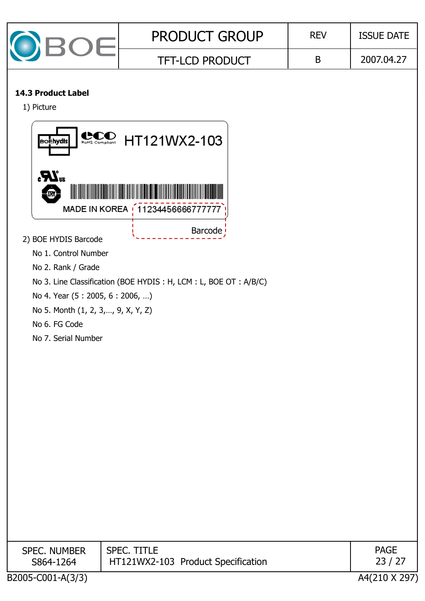| $\overline{\mathcal{C}}$ | <b>PRODUCT GROUP</b>   | <b>REV</b> | <b>ISSUE DATE</b> |  |
|--------------------------|------------------------|------------|-------------------|--|
|                          | <b>TFT-LCD PRODUCT</b> |            | 2007.04.27        |  |

#### **14.3 Product Label**

1) Picture



No 4. Year (5 : 2005, 6 : 2006, …)

No 5. Month (1, 2, 3, ..., 9, X, Y, Z)

No 6. FG Code

No 7. Serial Number

| <b>SPEC. NUMBER</b><br>S864-1264 | SPEC. TITLE<br>HT121WX2-103 Product Specification | <b>PAGE</b><br>23 / 27 |
|----------------------------------|---------------------------------------------------|------------------------|
| 00000 COO1 1/3/31                |                                                   | 11231011017            |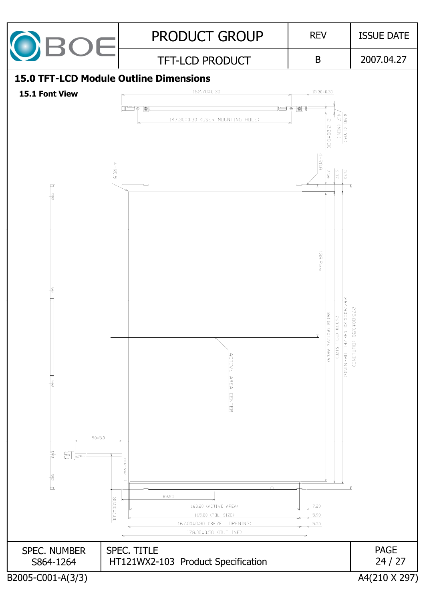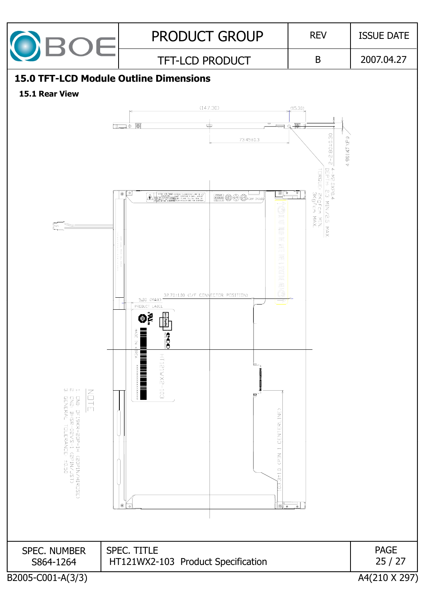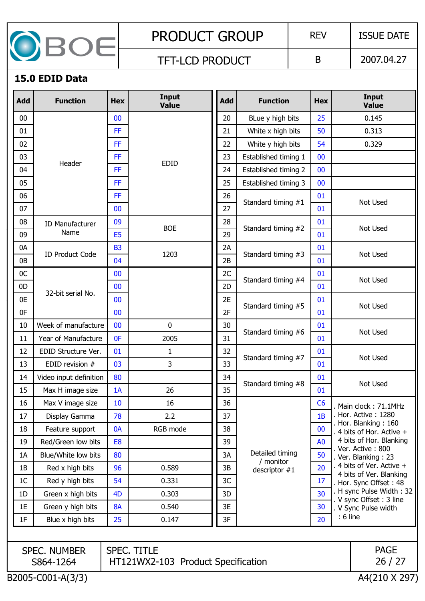

TFT-LCD PRODUCT B 2007.04.27

#### **15.0 EDID Data**

| <b>Add</b>     | <b>Function</b>                    | <b>Hex</b>     | Input<br><b>Value</b>                                    | <b>Add</b> | <b>Function</b>              | <b>Hex</b>     | Input<br><b>Value</b>                              |  |
|----------------|------------------------------------|----------------|----------------------------------------------------------|------------|------------------------------|----------------|----------------------------------------------------|--|
| 00             |                                    | 00             |                                                          | 20         | BLue y high bits             | 25             | 0.145                                              |  |
| 01             |                                    | <b>FF</b>      |                                                          | 21         | White x high bits            | 50             | 0.313                                              |  |
| 02             |                                    | <b>FF</b>      |                                                          | 22         | White y high bits            | 54             | 0.329                                              |  |
| 03             | Header                             | FF.            | <b>EDID</b>                                              | 23         | Established timing 1         | 00             |                                                    |  |
| 04             |                                    | <b>FF</b>      |                                                          | 24         | Established timing 2         | 00             |                                                    |  |
| 05             |                                    | FF.            |                                                          | 25         | Established timing 3         | 00             |                                                    |  |
| 06             |                                    | FF.            |                                                          | 26         | Standard timing #1           | 01             | Not Used                                           |  |
| 07             |                                    | 00             |                                                          | 27         |                              | 01             |                                                    |  |
| 08             | <b>ID Manufacturer</b>             | 09             | <b>BOE</b>                                               | 28         | Standard timing #2           | 01             | Not Used                                           |  |
| 09             | Name                               | E <sub>5</sub> |                                                          | 29         |                              | 01             |                                                    |  |
| 0A             | <b>ID Product Code</b>             | <b>B3</b>      | 1203                                                     | 2A         | Standard timing #3           | 01             | Not Used                                           |  |
| 0B             |                                    | 04             |                                                          | 2B         |                              | 01             |                                                    |  |
| 0C             |                                    | 00             |                                                          | 2C         | Standard timing #4           | 01             | Not Used                                           |  |
| 0 <sub>D</sub> | 32-bit serial No.                  | 00             |                                                          | 2D         |                              | 01             |                                                    |  |
| 0E             |                                    | 00             |                                                          | 2E         | Standard timing #5           | 01             | Not Used                                           |  |
| 0F             |                                    | 00             |                                                          | 2F         |                              | 01             |                                                    |  |
| 10             | Week of manufacture                | 00             | $\mathbf{0}$                                             | 30         | Standard timing #6           | 01             | Not Used                                           |  |
| 11             | Year of Manufacture                | 0F             | 2005                                                     | 31         |                              | 01             |                                                    |  |
| 12             | EDID Structure Ver.                | 01             | $\mathbf{1}$                                             | 32         | Standard timing #7           | 01             | Not Used                                           |  |
| 13             | EDID revision #                    | 03             | 3                                                        | 33         |                              | 01             |                                                    |  |
| 14             | Video input definition             | 80             |                                                          | 34         | Standard timing #8           | 01             | Not Used                                           |  |
| 15             | Max H image size                   | 1A             | 26                                                       | 35         |                              | 01             |                                                    |  |
| 16             | Max V image size                   | 10             | 16                                                       | 36         |                              | C6             | Main clock: 71.1MHz                                |  |
| 17             | Display Gamma                      | 78             | 2.2                                                      | 37         |                              | 1B             | . Hor. Active: 1280<br>Hor. Blanking: 160          |  |
| 18             | Feature support                    | 0A             | RGB mode                                                 | 38         |                              | 00             | 4 bits of Hor. Active +                            |  |
| 19             | Red/Green low bits                 | E <sub>8</sub> |                                                          | 39         |                              | A <sub>0</sub> | 4 bits of Hor. Blanking<br>. Ver. Active: 800      |  |
| 1A             | Blue/White low bits                | 80             |                                                          | 3A         | Detailed timing<br>/ monitor | 50             | . Ver. Blanking: 23                                |  |
| 1B             | Red x high bits                    | 96             | 0.589                                                    | 3B         | descriptor $#1$              | 20             | 4 bits of Ver. Active +<br>4 bits of Ver. Blanking |  |
| 1 <sup>C</sup> | Red y high bits                    | 54             | 0.331                                                    | 3C         |                              | 17             | . Hor. Sync Offset: 48                             |  |
| 1D             | Green x high bits                  | 4 <sub>D</sub> | 0.303                                                    | 3D         |                              | 30             | H sync Pulse Width: 32<br>V sync Offset: 3 line    |  |
| 1E             | Green y high bits                  | <b>8A</b>      | 0.540                                                    | 3E         |                              | 30             | . V Sync Pulse width                               |  |
| 1F             | Blue x high bits                   | 25             | 0.147                                                    | 3F         |                              | $: 6$ line     |                                                    |  |
|                |                                    |                |                                                          |            |                              |                |                                                    |  |
|                | <b>SPEC. NUMBER</b><br>S864-1264   |                | <b>SPEC. TITLE</b><br>HT121WX2-103 Product Specification |            |                              |                | <b>PAGE</b><br>26/27                               |  |
|                | B2005-C001-A(3/3)<br>A4(210 X 297) |                |                                                          |            |                              |                |                                                    |  |